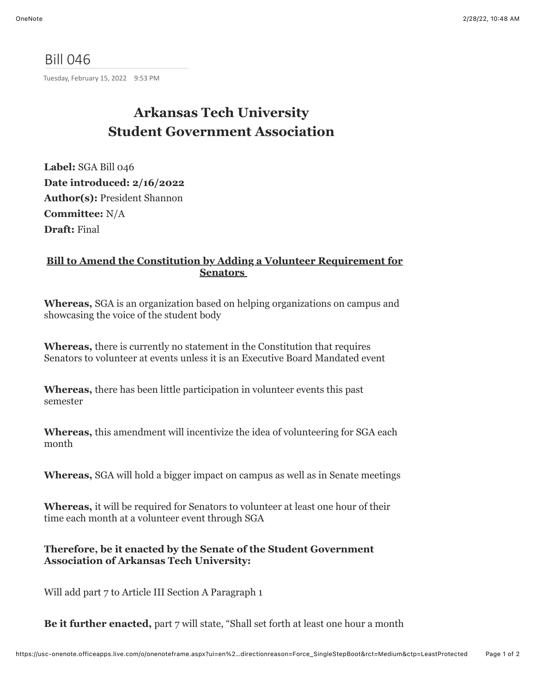## Bill 046

Tuesday, February 15, 2022 9:53 PM

## **Arkansas Tech University Student Government Association**

**Label:** SGA Bill 046 **Date introduced: 2/16/2022 Author(s):** President Shannon **Committee:** N/A **Draft:** Final

## **Bill to Amend the Constitution by Adding a Volunteer Requirement for Senators**

**Whereas,** SGA is an organization based on helping organizations on campus and showcasing the voice of the student body

**Whereas,** there is currently no statement in the Constitution that requires Senators to volunteer at events unless it is an Executive Board Mandated event

**Whereas,** there has been little participation in volunteer events this past semester

**Whereas,** this amendment will incentivize the idea of volunteering for SGA each month

**Whereas,** SGA will hold a bigger impact on campus as well as in Senate meetings

**Whereas,** it will be required for Senators to volunteer at least one hour of their time each month at a volunteer event through SGA

**Therefore, be it enacted by the Senate of the Student Government Association of Arkansas Tech University:** 

Will add part 7 to Article III Section A Paragraph 1

**Be it further enacted,** part 7 will state, "Shall set forth at least one hour a month